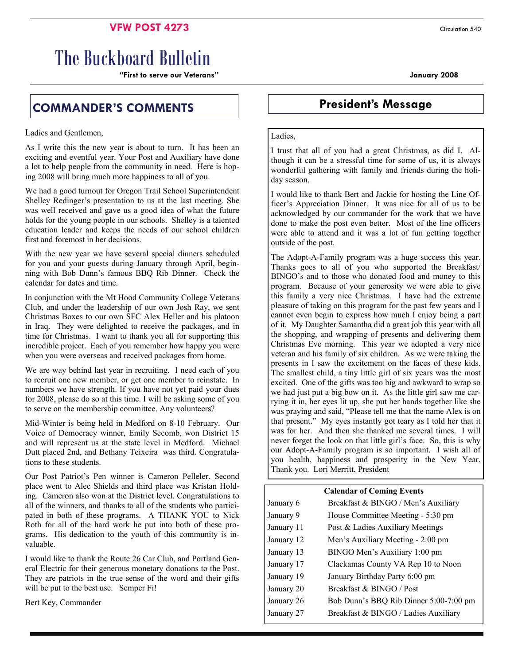## **VFW POST 4273** Circulation 540

# The Buckboard Bulletin

**"First to serve our Veterans" January 2008** 

# **COMMANDER'S COMMENTS President's Message**

Ladies and Gentlemen,

As I write this the new year is about to turn. It has been an exciting and eventful year. Your Post and Auxiliary have done a lot to help people from the community in need. Here is hoping 2008 will bring much more happiness to all of you.

We had a good turnout for Oregon Trail School Superintendent Shelley Redinger's presentation to us at the last meeting. She was well received and gave us a good idea of what the future holds for the young people in our schools. Shelley is a talented education leader and keeps the needs of our school children first and foremost in her decisions.

With the new year we have several special dinners scheduled for you and your guests during January through April, beginning with Bob Dunn's famous BBQ Rib Dinner. Check the calendar for dates and time.

In conjunction with the Mt Hood Community College Veterans Club, and under the leadership of our own Josh Ray, we sent Christmas Boxes to our own SFC Alex Heller and his platoon in Iraq. They were delighted to receive the packages, and in time for Christmas. I want to thank you all for supporting this incredible project. Each of you remember how happy you were when you were overseas and received packages from home.

We are way behind last year in recruiting. I need each of you to recruit one new member, or get one member to reinstate. In numbers we have strength. If you have not yet paid your dues for 2008, please do so at this time. I will be asking some of you to serve on the membership committee. Any volunteers?

Mid-Winter is being held in Medford on 8-10 February. Our Voice of Democracy winner, Emily Secomb, won District 15 and will represent us at the state level in Medford. Michael Dutt placed 2nd, and Bethany Teixeira was third. Congratulations to these students.

Our Post Patriot's Pen winner is Cameron Pelleler. Second place went to Alec Shields and third place was Kristan Holding. Cameron also won at the District level. Congratulations to all of the winners, and thanks to all of the students who participated in both of these programs. A THANK YOU to Nick Roth for all of the hard work he put into both of these programs. His dedication to the youth of this community is invaluable.

I would like to thank the Route 26 Car Club, and Portland General Electric for their generous monetary donations to the Post. They are patriots in the true sense of the word and their gifts will be put to the best use. Semper Fi!

Bert Key, Commander

#### Ladies,

I trust that all of you had a great Christmas, as did I. Although it can be a stressful time for some of us, it is always wonderful gathering with family and friends during the holiday season.

I would like to thank Bert and Jackie for hosting the Line Officer's Appreciation Dinner. It was nice for all of us to be acknowledged by our commander for the work that we have done to make the post even better. Most of the line officers were able to attend and it was a lot of fun getting together outside of the post.

The Adopt-A-Family program was a huge success this year. Thanks goes to all of you who supported the Breakfast/ BINGO's and to those who donated food and money to this program. Because of your generosity we were able to give this family a very nice Christmas. I have had the extreme pleasure of taking on this program for the past few years and I cannot even begin to express how much I enjoy being a part of it. My Daughter Samantha did a great job this year with all the shopping, and wrapping of presents and delivering them Christmas Eve morning. This year we adopted a very nice veteran and his family of six children. As we were taking the presents in I saw the excitement on the faces of these kids. The smallest child, a tiny little girl of six years was the most excited. One of the gifts was too big and awkward to wrap so we had just put a big bow on it. As the little girl saw me carrying it in, her eyes lit up, she put her hands together like she was praying and said, "Please tell me that the name Alex is on that present." My eyes instantly got teary as I told her that it was for her. And then she thanked me several times. I will never forget the look on that little girl's face. So, this is why our Adopt-A-Family program is so important. I wish all of you health, happiness and prosperity in the New Year. Thank you. Lori Merritt, President

| <b>Calendar of Coming Events</b> |                                        |  |  |  |
|----------------------------------|----------------------------------------|--|--|--|
| January 6                        | Breakfast & BINGO / Men's Auxiliary    |  |  |  |
| January 9                        | House Committee Meeting - 5:30 pm      |  |  |  |
| January 11                       | Post & Ladies Auxiliary Meetings       |  |  |  |
| January 12                       | Men's Auxiliary Meeting - 2:00 pm      |  |  |  |
| January 13                       | BINGO Men's Auxiliary 1:00 pm          |  |  |  |
| January 17                       | Clackamas County VA Rep 10 to Noon     |  |  |  |
| January 19                       | January Birthday Party 6:00 pm         |  |  |  |
| January 20                       | Breakfast & BINGO / Post               |  |  |  |
| January 26                       | Bob Dunn's BBQ Rib Dinner 5:00-7:00 pm |  |  |  |
| January 27                       | Breakfast & BINGO / Ladies Auxiliary   |  |  |  |
|                                  |                                        |  |  |  |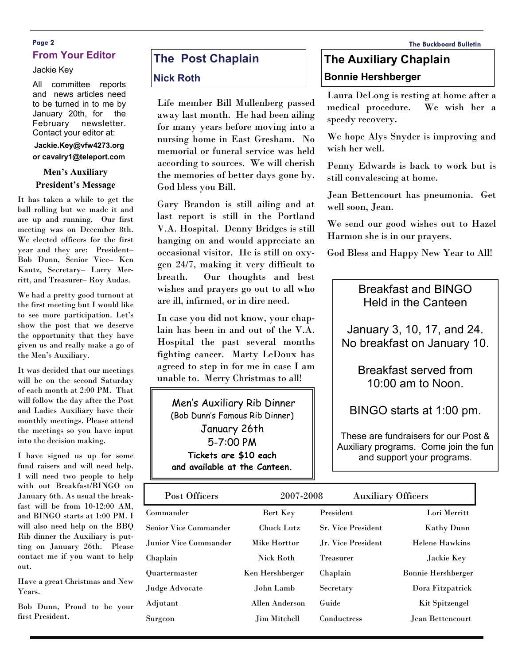### **Page 2 The Buckboard Bulletin From Your Editor**

#### Jackie Key

All committee reports and news articles need to be turned in to me by January 20th, for the February newsletter. Contact your editor at:

#### **Jackie.Key@vfw4273.org or cavalry1@teleport.com**

#### **Men's Auxiliary President's Message**

It has taken a while to get the ball rolling but we made it and are up and running. Our first meeting was on December 8th. We elected officers for the first year and they are: President– Bob Dunn, Senior Vice– Ken Kautz, Secretary– Larry Merritt, and Treasurer– Roy Audas.

We had a pretty good turnout at the first meeting but I would like to see more participation. Let's show the post that we deserve the opportunity that they have given us and really make a go of the Men's Auxiliary.

It was decided that our meetings will be on the second Saturday of each month at 2:00 PM. That will follow the day after the Post and Ladies Auxiliary have their monthly meetings. Please attend the meetings so you have input into the decision making.

I have signed us up for some fund raisers and will need help. I will need two people to help with out Breakfast/BINGO on January 6th. As usual the breakfast will be from 10-12:00 AM, and BINGO starts at 1:00 PM. I will also need help on the BBQ Rib dinner the Auxiliary is putting on January 26th. Please contact me if you want to help out.

Have a great Christmas and New Years.

Bob Dunn, Proud to be your first President.

# **The Post Chaplain**

#### **Nick Roth**

Life member Bill Mullenberg passed away last month. He had been ailing for many years before moving into a nursing home in East Gresham. No memorial or funeral service was held according to sources. We will cherish the memories of better days gone by. God bless you Bill.

Gary Brandon is still ailing and at last report is still in the Portland V.A. Hospital. Denny Bridges is still hanging on and would appreciate an occasional visitor. He is still on oxygen 24/7, making it very difficult to breath. Our thoughts and best wishes and prayers go out to all who are ill, infirmed, or in dire need.

In case you did not know, your chaplain has been in and out of the V.A. Hospital the past several months fighting cancer. Marty LeDoux has agreed to step in for me in case I am unable to. Merry Christmas to all!

 Men's Auxiliary Rib Dinner (Bob Dunn's Famous Rib Dinner) January 26th 5-7:00 PM **Tickets are \$10 each and available at the Canteen.** 

# **The Auxiliary Chaplain Bonnie Hershberger**

Laura DeLong is resting at home after a medical procedure. We wish her a speedy recovery.

We hope Alys Snyder is improving and wish her well.

Penny Edwards is back to work but is still convalescing at home.

Jean Bettencourt has pneumonia. Get well soon, Jean.

We send our good wishes out to Hazel Harmon she is in our prayers.

God Bless and Happy New Year to All!

# Breakfast and BINGO Held in the Canteen

January 3, 10, 17, and 24. No breakfast on January 10.

> Breakfast served from 10:00 am to Noon.

BINGO starts at 1:00 pm.

These are fundraisers for our Post & Auxiliary programs. Come join the fun and support your programs.

| Post Officers          | 2007-2008           | <b>Auxiliary Officers</b> |                           |
|------------------------|---------------------|---------------------------|---------------------------|
| Commander              | Bert Key            | President                 | Lori Merritt              |
| Senior Vice Commander  | <b>Chuck Lutz</b>   | <b>Sr. Vice President</b> | Kathy Dunn                |
| Junior Vice Commander. | Mike Horttor        | Jr. Vice President        | <b>Helene Hawkins</b>     |
| Chaplain               | <b>Nick Roth</b>    | <b>Treasurer</b>          | Jackie Key                |
| Quartermaster          | Ken Hershberger     | Chaplain                  | <b>Bonnie Hershberger</b> |
| Judge Advocate         | John Lamb           | Secretary                 | Dora Fitzpatrick          |
| Adjutant               | Allen Anderson      | Guide                     | Kit Spitzengel            |
| Surgeon                | <b>Jim Mitchell</b> | Conductress               | Jean Bettencourt          |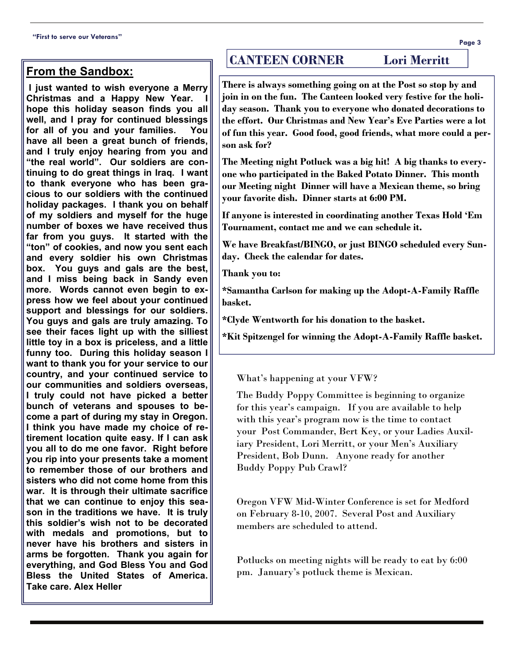## **From the Sandbox:**

 **I just wanted to wish everyone a Merry Christmas and a Happy New Year. hope this holiday season finds you all well, and I pray for continued blessings for all of you and your families. You have all been a great bunch of friends, and I truly enjoy hearing from you and "the real world". Our soldiers are continuing to do great things in Iraq. I want to thank everyone who has been gracious to our soldiers with the continued holiday packages. I thank you on behalf of my soldiers and myself for the huge number of boxes we have received thus far from you guys. It started with the "ton" of cookies, and now you sent each and every soldier his own Christmas box. You guys and gals are the best, and I miss being back in Sandy even more. Words cannot even begin to express how we feel about your continued support and blessings for our soldiers. You guys and gals are truly amazing. To see their faces light up with the silliest little toy in a box is priceless, and a little funny too. During this holiday season I want to thank you for your service to our country, and your continued service to our communities and soldiers overseas, I truly could not have picked a better bunch of veterans and spouses to become a part of during my stay in Oregon. I think you have made my choice of retirement location quite easy. If I can ask you all to do me one favor. Right before you rip into your presents take a moment to remember those of our brothers and sisters who did not come home from this war. It is through their ultimate sacrifice that we can continue to enjoy this season in the traditions we have. It is truly this soldier's wish not to be decorated with medals and promotions, but to never have his brothers and sisters in arms be forgotten. Thank you again for everything, and God Bless You and God Bless the United States of America. Take care. Alex Heller** 

# **CANTEEN CORNER Lori Merritt**

**There is always something going on at the Post so stop by and join in on the fun. The Canteen looked very festive for the holiday season. Thank you to everyone who donated decorations to the effort. Our Christmas and New Year's Eve Parties were a lot of fun this year. Good food, good friends, what more could a person ask for?** 

**The Meeting night Potluck was a big hit! A big thanks to everyone who participated in the Baked Potato Dinner. This month our Meeting night Dinner will have a Mexican theme, so bring your favorite dish. Dinner starts at 6:00 PM.** 

**If anyone is interested in coordinating another Texas Hold 'Em Tournament, contact me and we can schedule it.** 

**We have Breakfast/BINGO, or just BINGO scheduled every Sunday. Check the calendar for dates.** 

**Thank you to:** 

**\*Samantha Carlson for making up the Adopt-A-Family Raffle basket.** 

**\*Clyde Wentworth for his donation to the basket.** 

**\*Kit Spitzengel for winning the Adopt-A-Family Raffle basket.** 

What's happening at your VFW?

The Buddy Poppy Committee is beginning to organize for this year's campaign. If you are available to help with this year's program now is the time to contact your Post Commander, Bert Key, or your Ladies Auxiliary President, Lori Merritt, or your Men's Auxiliary President, Bob Dunn. Anyone ready for another Buddy Poppy Pub Crawl?

Oregon VFW Mid-Winter Conference is set for Medford on February 8-10, 2007. Several Post and Auxiliary members are scheduled to attend.

Potlucks on meeting nights will be ready to eat by 6:00 pm. January's potluck theme is Mexican.